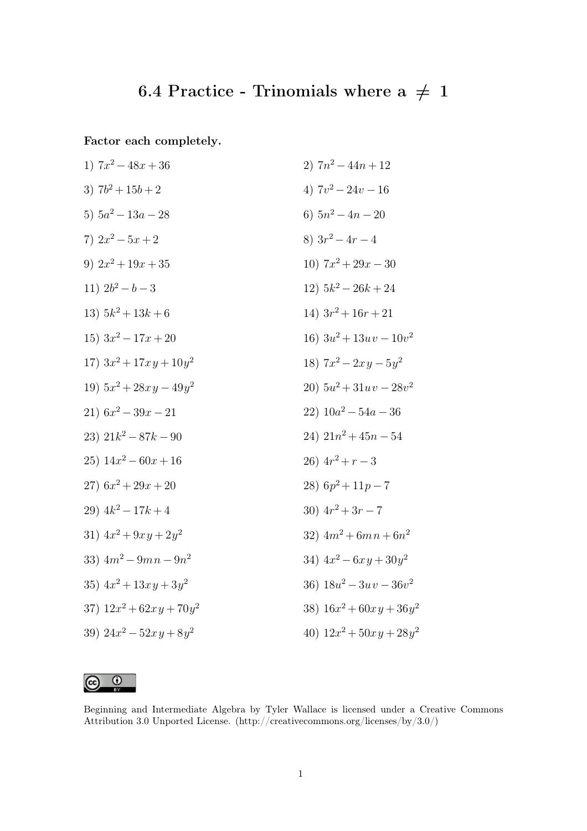## 6.4 Practice - Trinomials where a  $\, \neq \,$  1

Factor each completely.

1) 
$$
7x^2 - 48x + 36
$$
  
\n2)  $7n^2 - 44n + 12$   
\n3)  $7b^2 + 15b + 2$   
\n4)  $7v^2 - 24v - 16$   
\n5)  $5a^2 - 13a - 28$   
\n6)  $5n^2 - 4n - 20$   
\n7)  $2x^2 - 5x + 2$   
\n8)  $3r^2 - 4r - 4$   
\n9)  $2x^2 + 19x + 35$   
\n10)  $7x^2 + 29x - 30$   
\n11)  $2b^2 - b - 3$   
\n12)  $5k^2 - 26k + 24$   
\n13)  $5k^2 + 13k + 6$   
\n14)  $3r^2 + 16r + 21$   
\n15)  $3x^2 - 17x + 20$   
\n16)  $3u^2 + 13uv - 10v^2$   
\n17)  $3x^2 + 17xy + 10y^2$   
\n18)  $7x^2 - 2xy - 5y^2$   
\n19)  $5x^2 + 28xy - 49y^2$   
\n20)  $5u^2 + 31uv - 28v^2$   
\n21)  $6x^2 - 39x - 21$   
\n22)  $10a^2 - 54a - 36$   
\n23)  $21k^2 - 87k - 90$   
\n24)  $21n^2 + 45n - 54$   
\n25)  $14x^2 - 60x + 16$   
\n26)  $4r^2 + r - 3$   
\n27)  $6x^2 + 29x + 20$   
\n28)  $6p^2 + 11p - 7$   
\n29)  $4k^2 - 17k + 4$   
\n30)  $4r^2 + 3r - 7$   
\n31)  $4x^2 + 9xy + 2y^2$   
\n

 $\odot$   $\odot$ 

Beginning and Intermediate Algebra by Tyler Wallace is licensed under a Creative Commons Attribution 3.0 Unported License. (http://creativecommons.org/licenses/by/3.0/)